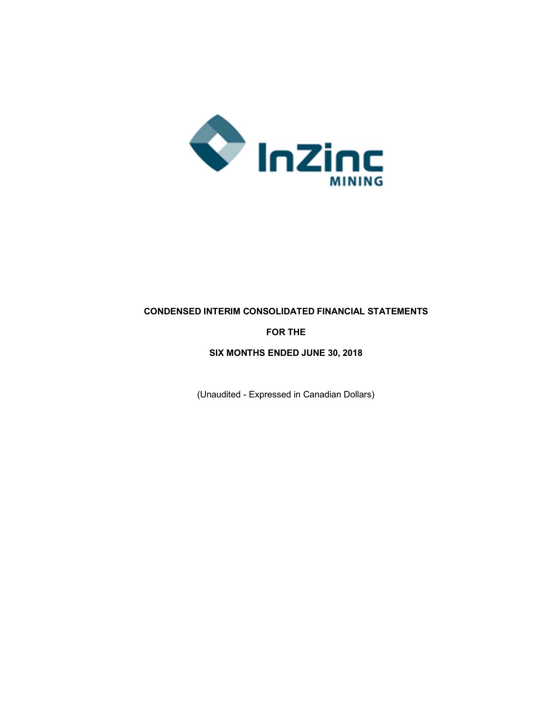

## **CONDENSED INTERIM CONSOLIDATED FINANCIAL STATEMENTS**

## **FOR THE**

## **SIX MONTHS ENDED JUNE 30, 2018**

(Unaudited - Expressed in Canadian Dollars)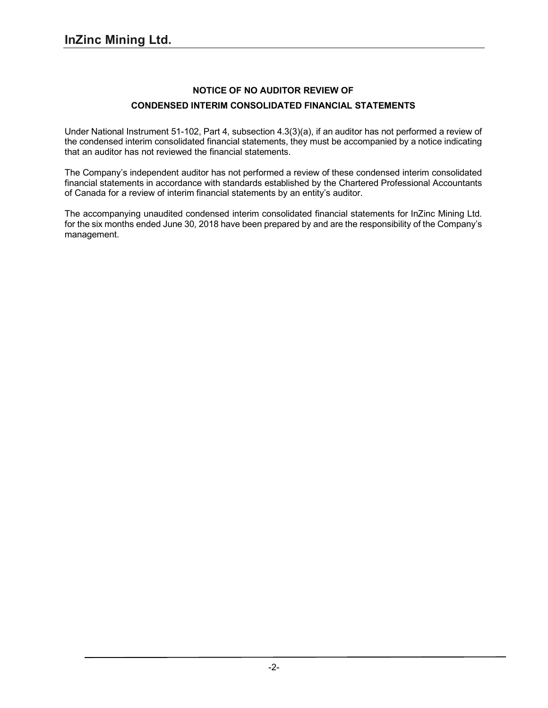## **NOTICE OF NO AUDITOR REVIEW OF CONDENSED INTERIM CONSOLIDATED FINANCIAL STATEMENTS**

Under National Instrument 51-102, Part 4, subsection 4.3(3)(a), if an auditor has not performed a review of the condensed interim consolidated financial statements, they must be accompanied by a notice indicating that an auditor has not reviewed the financial statements.

The Company's independent auditor has not performed a review of these condensed interim consolidated financial statements in accordance with standards established by the Chartered Professional Accountants of Canada for a review of interim financial statements by an entity's auditor.

The accompanying unaudited condensed interim consolidated financial statements for InZinc Mining Ltd. for the six months ended June 30, 2018 have been prepared by and are the responsibility of the Company's management.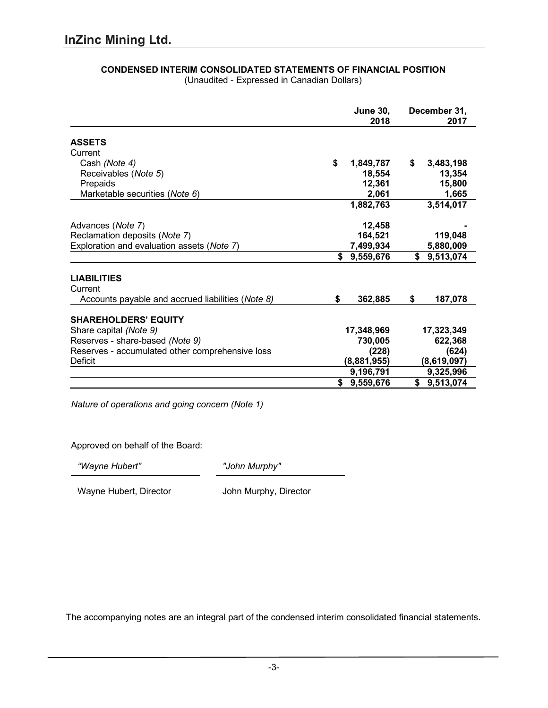|                                                   | <b>June 30,</b><br>2018 |             |    | December 31,<br>2017 |  |  |  |
|---------------------------------------------------|-------------------------|-------------|----|----------------------|--|--|--|
| <b>ASSETS</b>                                     |                         |             |    |                      |  |  |  |
| Current                                           |                         |             |    |                      |  |  |  |
| Cash (Note 4)                                     | \$                      | 1,849,787   | S. | 3,483,198            |  |  |  |
| Receivables (Note 5)                              |                         | 18,554      |    | 13,354               |  |  |  |
| Prepaids                                          |                         | 12,361      |    | 15,800               |  |  |  |
| Marketable securities (Note 6)                    |                         | 2,061       |    | 1,665                |  |  |  |
|                                                   |                         | 1,882,763   |    | 3,514,017            |  |  |  |
| Advances (Note 7)                                 |                         | 12,458      |    |                      |  |  |  |
| Reclamation deposits (Note 7)                     |                         | 164,521     |    | 119,048              |  |  |  |
| Exploration and evaluation assets (Note 7)        |                         | 7,499,934   |    | 5,880,009            |  |  |  |
|                                                   | \$                      | 9,559,676   |    | \$9,513,074          |  |  |  |
| <b>LIABILITIES</b>                                |                         |             |    |                      |  |  |  |
| Current                                           |                         |             |    |                      |  |  |  |
| Accounts payable and accrued liabilities (Note 8) | \$                      | 362,885     | \$ | 187,078              |  |  |  |
| <b>SHAREHOLDERS' EQUITY</b>                       |                         |             |    |                      |  |  |  |
| Share capital (Note 9)                            |                         | 17,348,969  |    | 17,323,349           |  |  |  |
| Reserves - share-based (Note 9)                   |                         | 730,005     |    | 622,368              |  |  |  |
| Reserves - accumulated other comprehensive loss   |                         | (228)       |    | (624)                |  |  |  |
| Deficit                                           |                         | (8,881,955) |    | (8,619,097)          |  |  |  |
|                                                   |                         | 9,196,791   |    | 9,325,996            |  |  |  |
|                                                   | S                       | 9,559,676   | \$ | 9,513,074            |  |  |  |

#### **CONDENSED INTERIM CONSOLIDATED STATEMENTS OF FINANCIAL POSITION** (Unaudited - Expressed in Canadian Dollars)

Approved on behalf of the Board:

*Nature of operations and going concern (Note 1)*

*"Wayne Hubert" "John Murphy"*

Wayne Hubert, Director **John Murphy, Director**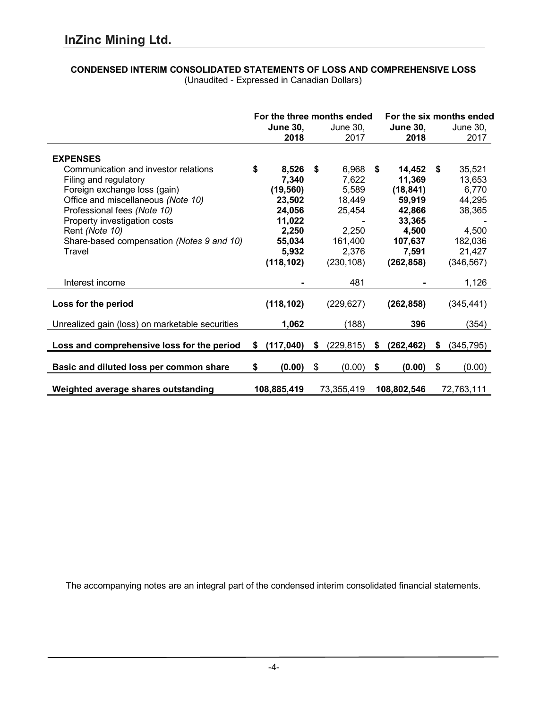# **CONDENSED INTERIM CONSOLIDATED STATEMENTS OF LOSS AND COMPREHENSIVE LOSS**

|                                                 | For the three months ended |                 | For the six months ended |            |    |                 |      |                 |
|-------------------------------------------------|----------------------------|-----------------|--------------------------|------------|----|-----------------|------|-----------------|
|                                                 |                            | <b>June 30,</b> |                          | June 30,   |    | <b>June 30,</b> |      | <b>June 30,</b> |
|                                                 |                            | 2018            |                          | 2017       |    | 2018            |      | 2017            |
|                                                 |                            |                 |                          |            |    |                 |      |                 |
| <b>EXPENSES</b>                                 |                            |                 |                          |            |    |                 |      |                 |
| Communication and investor relations            | \$                         | 8,526           | S.                       | 6,968      | \$ | 14,452          | - \$ | 35,521          |
| Filing and regulatory                           |                            | 7,340           |                          | 7,622      |    | 11,369          |      | 13,653          |
| Foreign exchange loss (gain)                    |                            | (19, 560)       |                          | 5,589      |    | (18, 841)       |      | 6,770           |
| Office and miscellaneous (Note 10)              |                            | 23,502          |                          | 18,449     |    | 59,919          |      | 44,295          |
| Professional fees (Note 10)                     |                            | 24,056          |                          | 25,454     |    | 42,866          |      | 38,365          |
| Property investigation costs                    |                            | 11,022          |                          |            |    | 33,365          |      |                 |
| Rent (Note 10)                                  |                            | 2,250           |                          | 2,250      |    | 4,500           |      | 4,500           |
| Share-based compensation (Notes 9 and 10)       |                            | 55,034          |                          | 161,400    |    | 107,637         |      | 182,036         |
| Travel                                          |                            | 5,932           |                          | 2,376      |    | 7,591           |      | 21,427          |
|                                                 |                            | (118, 102)      |                          | (230, 108) |    | (262, 858)      |      | (346, 567)      |
|                                                 |                            |                 |                          |            |    |                 |      |                 |
| Interest income                                 |                            |                 |                          | 481        |    |                 |      | 1,126           |
|                                                 |                            |                 |                          |            |    |                 |      |                 |
| Loss for the period                             |                            | (118, 102)      |                          | (229, 627) |    | (262, 858)      |      | (345, 441)      |
| Unrealized gain (loss) on marketable securities |                            | 1,062           |                          | (188)      |    | 396             |      | (354)           |
|                                                 |                            |                 |                          |            |    |                 |      |                 |
| Loss and comprehensive loss for the period      | \$                         | (117, 040)      | \$                       | (229, 815) | \$ | (262, 462)      | S    | (345, 795)      |
| Basic and diluted loss per common share         | \$                         | (0.00)          | \$                       | (0.00)     | \$ | (0.00)          | \$   | (0.00)          |
|                                                 |                            |                 |                          |            |    |                 |      |                 |
| Weighted average shares outstanding             |                            | 108,885,419     |                          | 73,355,419 |    | 108,802,546     |      | 72,763,111      |

(Unaudited - Expressed in Canadian Dollars)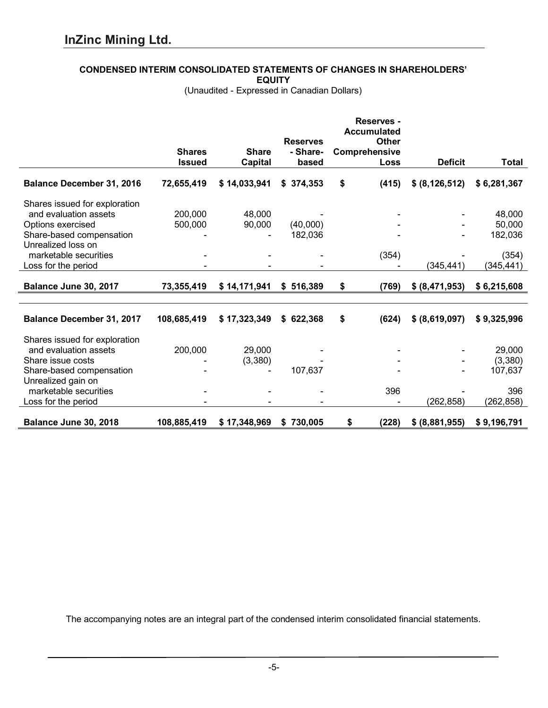## **CONDENSED INTERIM CONSOLIDATED STATEMENTS OF CHANGES IN SHAREHOLDERS'**

**EQUITY**

(Unaudited - Expressed in Canadian Dollars)

|                                  |               |                |                 | <b>Reserves -</b><br><b>Accumulated</b> |                  |              |
|----------------------------------|---------------|----------------|-----------------|-----------------------------------------|------------------|--------------|
|                                  |               |                | <b>Reserves</b> | <b>Other</b>                            |                  |              |
|                                  | <b>Shares</b> | <b>Share</b>   | - Share-        | Comprehensive                           |                  |              |
|                                  | <b>Issued</b> | <b>Capital</b> | based           | Loss                                    | <b>Deficit</b>   | <b>Total</b> |
| <b>Balance December 31, 2016</b> | 72,655,419    | \$14,033,941   | \$374,353       | \$<br>(415)                             | \$ (8, 126, 512) | \$6,281,367  |
| Shares issued for exploration    |               |                |                 |                                         |                  |              |
| and evaluation assets            | 200,000       | 48,000         |                 |                                         |                  | 48,000       |
| Options exercised                | 500,000       | 90,000         | (40,000)        |                                         |                  | 50,000       |
| Share-based compensation         |               |                | 182,036         |                                         |                  | 182,036      |
| Unrealized loss on               |               |                |                 |                                         |                  |              |
| marketable securities            |               |                |                 | (354)                                   |                  | (354)        |
| Loss for the period              |               |                |                 |                                         | (345, 441)       | (345,441)    |
| Balance June 30, 2017            | 73,355,419    | \$14,171,941   | \$516,389       | \$<br>(769)                             | \$ (8,471,953)   | \$6,215,608  |
|                                  |               |                |                 |                                         |                  |              |
| <b>Balance December 31, 2017</b> | 108,685,419   | \$17,323,349   | \$622,368       | \$<br>(624)                             | \$ (8,619,097)   | \$9,325,996  |
| Shares issued for exploration    |               |                |                 |                                         |                  |              |
| and evaluation assets            | 200,000       | 29,000         |                 |                                         |                  | 29,000       |
| Share issue costs                |               | (3,380)        |                 |                                         |                  | (3,380)      |
| Share-based compensation         |               |                | 107,637         |                                         |                  | 107,637      |
| Unrealized gain on               |               |                |                 |                                         |                  |              |
| marketable securities            |               |                |                 | 396                                     |                  | 396          |
| Loss for the period              |               |                |                 |                                         | (262, 858)       | (262, 858)   |
| Balance June 30, 2018            | 108,885,419   | \$17,348,969   | \$730,005       | \$<br>(228)                             | \$ (8,881,955)   | \$9,196,791  |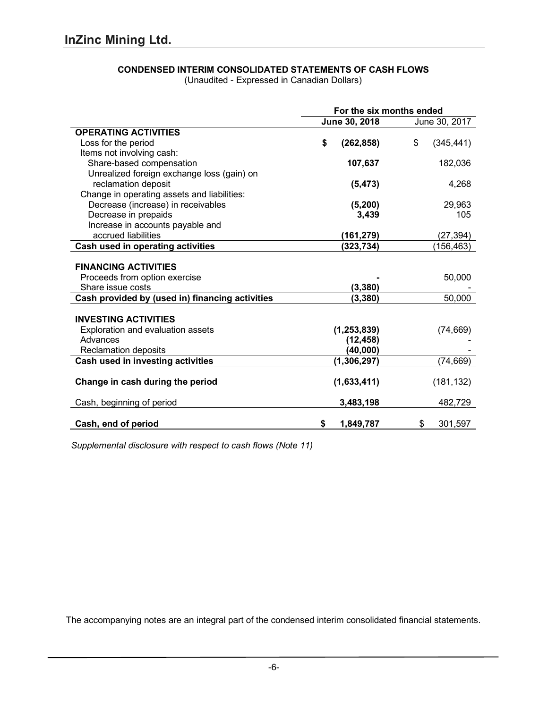## **CONDENSED INTERIM CONSOLIDATED STATEMENTS OF CASH FLOWS**

(Unaudited - Expressed in Canadian Dollars)

|                                                 | For the six months ended |               |    |            |  |
|-------------------------------------------------|--------------------------|---------------|----|------------|--|
|                                                 | June 30, 2018            | June 30, 2017 |    |            |  |
| <b>OPERATING ACTIVITIES</b>                     |                          |               |    |            |  |
| Loss for the period                             | \$                       | (262, 858)    | \$ | (345, 441) |  |
| Items not involving cash:                       |                          |               |    |            |  |
| Share-based compensation                        |                          | 107,637       |    | 182,036    |  |
| Unrealized foreign exchange loss (gain) on      |                          |               |    |            |  |
| reclamation deposit                             |                          | (5, 473)      |    | 4,268      |  |
| Change in operating assets and liabilities:     |                          |               |    |            |  |
| Decrease (increase) in receivables              |                          | (5, 200)      |    | 29,963     |  |
| Decrease in prepaids                            |                          | 3,439         |    | 105        |  |
| Increase in accounts payable and                |                          |               |    |            |  |
| accrued liabilities                             |                          | (161, 279)    |    | (27, 394)  |  |
| Cash used in operating activities               |                          | (323, 734)    |    | (156,463)  |  |
|                                                 |                          |               |    |            |  |
| <b>FINANCING ACTIVITIES</b>                     |                          |               |    |            |  |
| Proceeds from option exercise                   |                          |               |    | 50,000     |  |
| Share issue costs                               |                          | (3, 380)      |    |            |  |
| Cash provided by (used in) financing activities |                          | (3, 380)      |    | 50,000     |  |
|                                                 |                          |               |    |            |  |
| <b>INVESTING ACTIVITIES</b>                     |                          |               |    |            |  |
| Exploration and evaluation assets               |                          | (1, 253, 839) |    | (74, 669)  |  |
| Advances                                        |                          | (12, 458)     |    |            |  |
| <b>Reclamation deposits</b>                     |                          | (40,000)      |    |            |  |
| <b>Cash used in investing activities</b>        |                          | (1, 306, 297) |    | (74, 669)  |  |
|                                                 |                          |               |    |            |  |
| Change in cash during the period                |                          | (1,633,411)   |    | (181, 132) |  |
| Cash, beginning of period                       |                          | 3,483,198     |    | 482,729    |  |
|                                                 |                          |               |    |            |  |
| Cash, end of period                             | \$                       | 1,849,787     | \$ | 301,597    |  |

*Supplemental disclosure with respect to cash flows (Note 11)*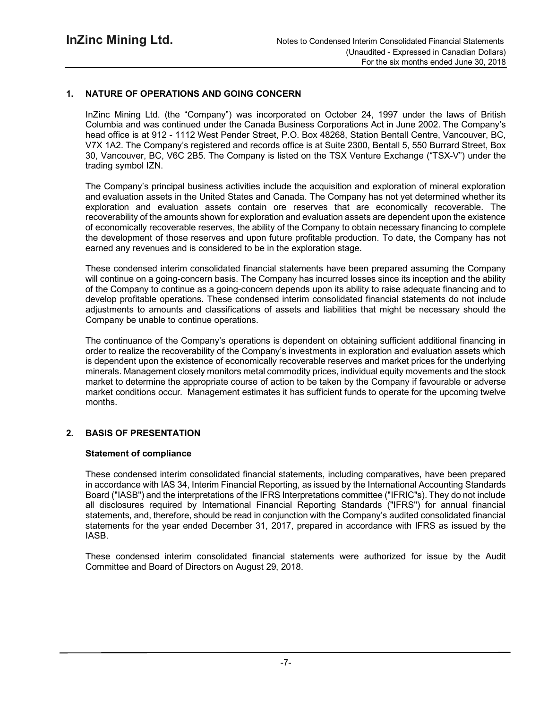## **1. NATURE OF OPERATIONS AND GOING CONCERN**

InZinc Mining Ltd. (the "Company") was incorporated on October 24, 1997 under the laws of British Columbia and was continued under the Canada Business Corporations Act in June 2002. The Company's head office is at 912 - 1112 West Pender Street, P.O. Box 48268, Station Bentall Centre, Vancouver, BC, V7X 1A2. The Company's registered and records office is at Suite 2300, Bentall 5, 550 Burrard Street, Box 30, Vancouver, BC, V6C 2B5. The Company is listed on the TSX Venture Exchange ("TSX-V") under the trading symbol IZN.

The Company's principal business activities include the acquisition and exploration of mineral exploration and evaluation assets in the United States and Canada. The Company has not yet determined whether its exploration and evaluation assets contain ore reserves that are economically recoverable. The recoverability of the amounts shown for exploration and evaluation assets are dependent upon the existence of economically recoverable reserves, the ability of the Company to obtain necessary financing to complete the development of those reserves and upon future profitable production. To date, the Company has not earned any revenues and is considered to be in the exploration stage.

These condensed interim consolidated financial statements have been prepared assuming the Company will continue on a going-concern basis. The Company has incurred losses since its inception and the ability of the Company to continue as a going-concern depends upon its ability to raise adequate financing and to develop profitable operations. These condensed interim consolidated financial statements do not include adjustments to amounts and classifications of assets and liabilities that might be necessary should the Company be unable to continue operations.

The continuance of the Company's operations is dependent on obtaining sufficient additional financing in order to realize the recoverability of the Company's investments in exploration and evaluation assets which is dependent upon the existence of economically recoverable reserves and market prices for the underlying minerals. Management closely monitors metal commodity prices, individual equity movements and the stock market to determine the appropriate course of action to be taken by the Company if favourable or adverse market conditions occur. Management estimates it has sufficient funds to operate for the upcoming twelve months.

## **2. BASIS OF PRESENTATION**

#### **Statement of compliance**

These condensed interim consolidated financial statements, including comparatives, have been prepared in accordance with IAS 34, Interim Financial Reporting, as issued by the International Accounting Standards Board ("IASB") and the interpretations of the IFRS Interpretations committee ("IFRIC"s). They do not include all disclosures required by International Financial Reporting Standards ("IFRS") for annual financial statements, and, therefore, should be read in conjunction with the Company's audited consolidated financial statements for the year ended December 31, 2017, prepared in accordance with IFRS as issued by the IASB.

These condensed interim consolidated financial statements were authorized for issue by the Audit Committee and Board of Directors on August 29, 2018.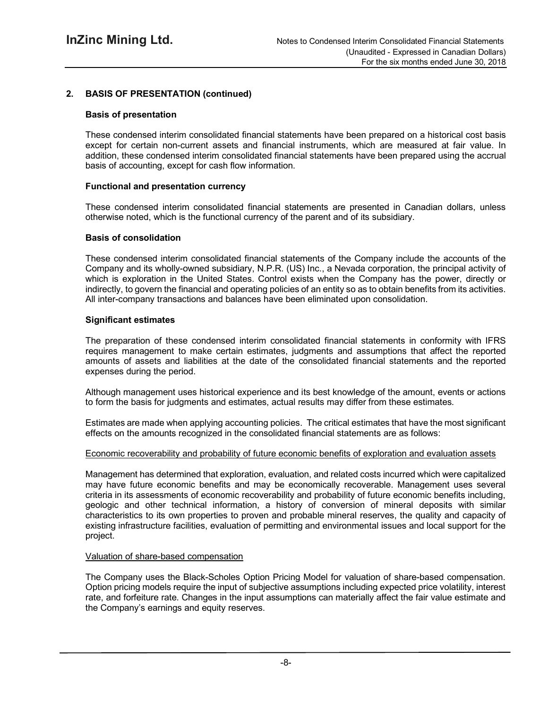## **2. BASIS OF PRESENTATION (continued)**

## **Basis of presentation**

These condensed interim consolidated financial statements have been prepared on a historical cost basis except for certain non-current assets and financial instruments, which are measured at fair value. In addition, these condensed interim consolidated financial statements have been prepared using the accrual basis of accounting, except for cash flow information.

#### **Functional and presentation currency**

These condensed interim consolidated financial statements are presented in Canadian dollars, unless otherwise noted, which is the functional currency of the parent and of its subsidiary.

#### **Basis of consolidation**

These condensed interim consolidated financial statements of the Company include the accounts of the Company and its wholly-owned subsidiary, N.P.R. (US) Inc., a Nevada corporation, the principal activity of which is exploration in the United States. Control exists when the Company has the power, directly or indirectly, to govern the financial and operating policies of an entity so as to obtain benefits from its activities. All inter-company transactions and balances have been eliminated upon consolidation.

#### **Significant estimates**

The preparation of these condensed interim consolidated financial statements in conformity with IFRS requires management to make certain estimates, judgments and assumptions that affect the reported amounts of assets and liabilities at the date of the consolidated financial statements and the reported expenses during the period.

Although management uses historical experience and its best knowledge of the amount, events or actions to form the basis for judgments and estimates, actual results may differ from these estimates.

Estimates are made when applying accounting policies. The critical estimates that have the most significant effects on the amounts recognized in the consolidated financial statements are as follows:

#### Economic recoverability and probability of future economic benefits of exploration and evaluation assets

Management has determined that exploration, evaluation, and related costs incurred which were capitalized may have future economic benefits and may be economically recoverable. Management uses several criteria in its assessments of economic recoverability and probability of future economic benefits including, geologic and other technical information, a history of conversion of mineral deposits with similar characteristics to its own properties to proven and probable mineral reserves, the quality and capacity of existing infrastructure facilities, evaluation of permitting and environmental issues and local support for the project.

#### Valuation of share-based compensation

The Company uses the Black-Scholes Option Pricing Model for valuation of share-based compensation. Option pricing models require the input of subjective assumptions including expected price volatility, interest rate, and forfeiture rate. Changes in the input assumptions can materially affect the fair value estimate and the Company's earnings and equity reserves.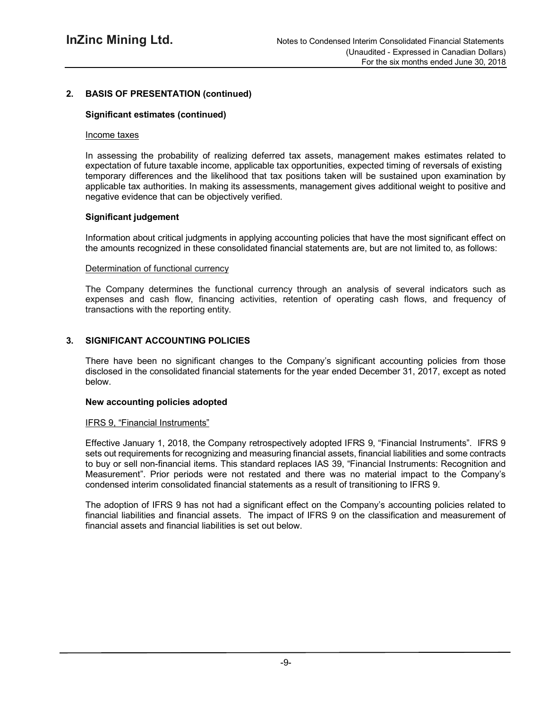## **2. BASIS OF PRESENTATION (continued)**

## **Significant estimates (continued)**

#### Income taxes

In assessing the probability of realizing deferred tax assets, management makes estimates related to expectation of future taxable income, applicable tax opportunities, expected timing of reversals of existing temporary differences and the likelihood that tax positions taken will be sustained upon examination by applicable tax authorities. In making its assessments, management gives additional weight to positive and negative evidence that can be objectively verified.

## **Significant judgement**

Information about critical judgments in applying accounting policies that have the most significant effect on the amounts recognized in these consolidated financial statements are, but are not limited to, as follows:

#### Determination of functional currency

The Company determines the functional currency through an analysis of several indicators such as expenses and cash flow, financing activities, retention of operating cash flows, and frequency of transactions with the reporting entity.

## **3. SIGNIFICANT ACCOUNTING POLICIES**

There have been no significant changes to the Company's significant accounting policies from those disclosed in the consolidated financial statements for the year ended December 31, 2017, except as noted below.

#### **New accounting policies adopted**

## IFRS 9, "Financial Instruments"

Effective January 1, 2018, the Company retrospectively adopted IFRS 9, "Financial Instruments". IFRS 9 sets out requirements for recognizing and measuring financial assets, financial liabilities and some contracts to buy or sell non-financial items. This standard replaces IAS 39, "Financial Instruments: Recognition and Measurement". Prior periods were not restated and there was no material impact to the Company's condensed interim consolidated financial statements as a result of transitioning to IFRS 9.

The adoption of IFRS 9 has not had a significant effect on the Company's accounting policies related to financial liabilities and financial assets. The impact of IFRS 9 on the classification and measurement of financial assets and financial liabilities is set out below.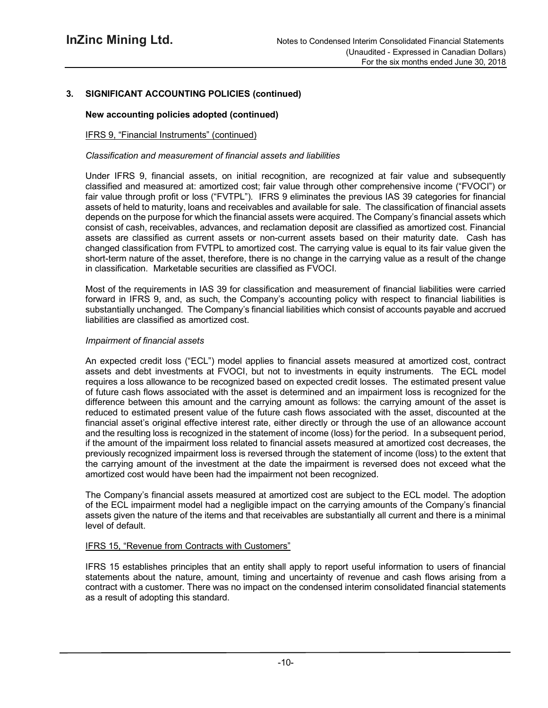## **3. SIGNIFICANT ACCOUNTING POLICIES (continued)**

## **New accounting policies adopted (continued)**

## IFRS 9, "Financial Instruments" (continued)

## *Classification and measurement of financial assets and liabilities*

Under IFRS 9, financial assets, on initial recognition, are recognized at fair value and subsequently classified and measured at: amortized cost; fair value through other comprehensive income ("FVOCI") or fair value through profit or loss ("FVTPL"). IFRS 9 eliminates the previous IAS 39 categories for financial assets of held to maturity, loans and receivables and available for sale. The classification of financial assets depends on the purpose for which the financial assets were acquired. The Company's financial assets which consist of cash, receivables, advances, and reclamation deposit are classified as amortized cost. Financial assets are classified as current assets or non-current assets based on their maturity date. Cash has changed classification from FVTPL to amortized cost. The carrying value is equal to its fair value given the short-term nature of the asset, therefore, there is no change in the carrying value as a result of the change in classification. Marketable securities are classified as FVOCI.

Most of the requirements in IAS 39 for classification and measurement of financial liabilities were carried forward in IFRS 9, and, as such, the Company's accounting policy with respect to financial liabilities is substantially unchanged. The Company's financial liabilities which consist of accounts payable and accrued liabilities are classified as amortized cost.

#### *Impairment of financial assets*

An expected credit loss ("ECL") model applies to financial assets measured at amortized cost, contract assets and debt investments at FVOCI, but not to investments in equity instruments. The ECL model requires a loss allowance to be recognized based on expected credit losses. The estimated present value of future cash flows associated with the asset is determined and an impairment loss is recognized for the difference between this amount and the carrying amount as follows: the carrying amount of the asset is reduced to estimated present value of the future cash flows associated with the asset, discounted at the financial asset's original effective interest rate, either directly or through the use of an allowance account and the resulting loss is recognized in the statement of income (loss) for the period. In a subsequent period, if the amount of the impairment loss related to financial assets measured at amortized cost decreases, the previously recognized impairment loss is reversed through the statement of income (loss) to the extent that the carrying amount of the investment at the date the impairment is reversed does not exceed what the amortized cost would have been had the impairment not been recognized.

The Company's financial assets measured at amortized cost are subject to the ECL model. The adoption of the ECL impairment model had a negligible impact on the carrying amounts of the Company's financial assets given the nature of the items and that receivables are substantially all current and there is a minimal level of default.

## IFRS 15, "Revenue from Contracts with Customers"

IFRS 15 establishes principles that an entity shall apply to report useful information to users of financial statements about the nature, amount, timing and uncertainty of revenue and cash flows arising from a contract with a customer. There was no impact on the condensed interim consolidated financial statements as a result of adopting this standard.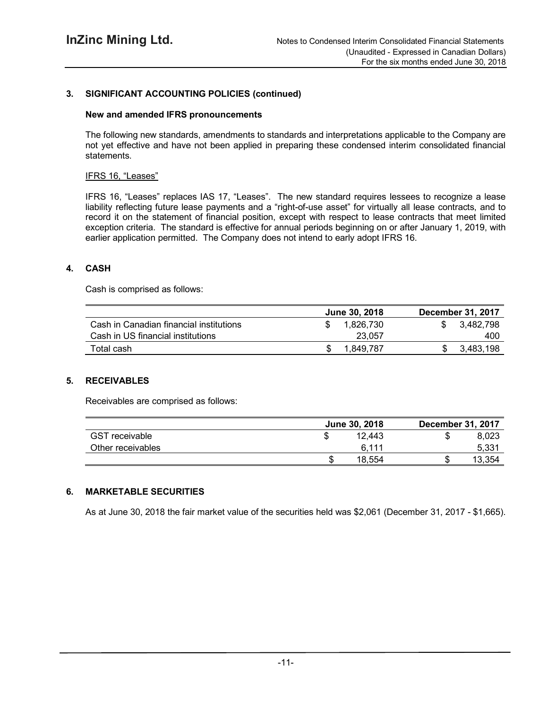## **3. SIGNIFICANT ACCOUNTING POLICIES (continued)**

#### **New and amended IFRS pronouncements**

The following new standards, amendments to standards and interpretations applicable to the Company are not yet effective and have not been applied in preparing these condensed interim consolidated financial statements.

#### IFRS 16, "Leases"

IFRS 16, "Leases" replaces IAS 17, "Leases". The new standard requires lessees to recognize a lease liability reflecting future lease payments and a "right-of-use asset" for virtually all lease contracts, and to record it on the statement of financial position, except with respect to lease contracts that meet limited exception criteria. The standard is effective for annual periods beginning on or after January 1, 2019, with earlier application permitted. The Company does not intend to early adopt IFRS 16.

## **4. CASH**

Cash is comprised as follows:

|                                         | <b>June 30, 2018</b> | <b>December 31, 2017</b> |
|-----------------------------------------|----------------------|--------------------------|
| Cash in Canadian financial institutions | 1.826.730            | 3.482.798                |
| Cash in US financial institutions       | 23.057               | 400                      |
| Total cash                              | 1.849.787            | 3.483.198                |

## **5. RECEIVABLES**

Receivables are comprised as follows:

|                       | June 30, 2018 | <b>December 31, 2017</b> |
|-----------------------|---------------|--------------------------|
| <b>GST</b> receivable | 12.443        | 8.023                    |
| Other receivables     | 6.111         | 5.33 <sup>4</sup>        |
|                       | 18.554        | 13.354                   |

## **6. MARKETABLE SECURITIES**

As at June 30, 2018 the fair market value of the securities held was \$2,061 (December 31, 2017 - \$1,665).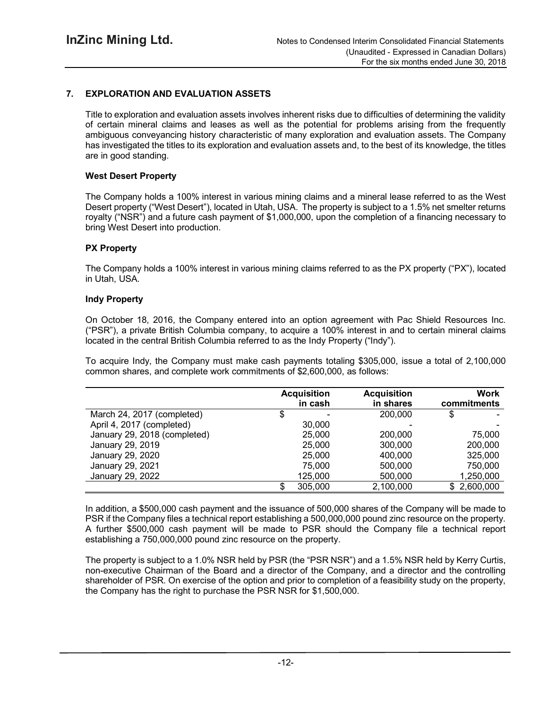## **7. EXPLORATION AND EVALUATION ASSETS**

Title to exploration and evaluation assets involves inherent risks due to difficulties of determining the validity of certain mineral claims and leases as well as the potential for problems arising from the frequently ambiguous conveyancing history characteristic of many exploration and evaluation assets. The Company has investigated the titles to its exploration and evaluation assets and, to the best of its knowledge, the titles are in good standing.

#### **West Desert Property**

The Company holds a 100% interest in various mining claims and a mineral lease referred to as the West Desert property ("West Desert"), located in Utah, USA. The property is subject to a 1.5% net smelter returns royalty ("NSR") and a future cash payment of \$1,000,000, upon the completion of a financing necessary to bring West Desert into production.

#### **PX Property**

The Company holds a 100% interest in various mining claims referred to as the PX property ("PX"), located in Utah, USA.

#### **Indy Property**

On October 18, 2016, the Company entered into an option agreement with Pac Shield Resources Inc. ("PSR"), a private British Columbia company, to acquire a 100% interest in and to certain mineral claims located in the central British Columbia referred to as the Indy Property ("Indy").

To acquire Indy, the Company must make cash payments totaling \$305,000, issue a total of 2,100,000 common shares, and complete work commitments of \$2,600,000, as follows:

|                              |   | <b>Acquisition</b><br>in cash | <b>Acquisition</b><br>in shares | Work<br>commitments |
|------------------------------|---|-------------------------------|---------------------------------|---------------------|
| March 24, 2017 (completed)   | Φ |                               | 200,000                         |                     |
| April 4, 2017 (completed)    |   | 30,000                        |                                 |                     |
| January 29, 2018 (completed) |   | 25,000                        | 200,000                         | 75,000              |
| January 29, 2019             |   | 25,000                        | 300,000                         | 200,000             |
| January 29, 2020             |   | 25,000                        | 400,000                         | 325,000             |
| January 29, 2021             |   | 75,000                        | 500,000                         | 750,000             |
| January 29, 2022             |   | 125,000                       | 500,000                         | 1,250,000           |
|                              |   | 305,000                       | 2,100,000                       | \$2,600,000         |

In addition, a \$500,000 cash payment and the issuance of 500,000 shares of the Company will be made to PSR if the Company files a technical report establishing a 500,000,000 pound zinc resource on the property. A further \$500,000 cash payment will be made to PSR should the Company file a technical report establishing a 750,000,000 pound zinc resource on the property.

The property is subject to a 1.0% NSR held by PSR (the "PSR NSR") and a 1.5% NSR held by Kerry Curtis, non-executive Chairman of the Board and a director of the Company, and a director and the controlling shareholder of PSR. On exercise of the option and prior to completion of a feasibility study on the property, the Company has the right to purchase the PSR NSR for \$1,500,000.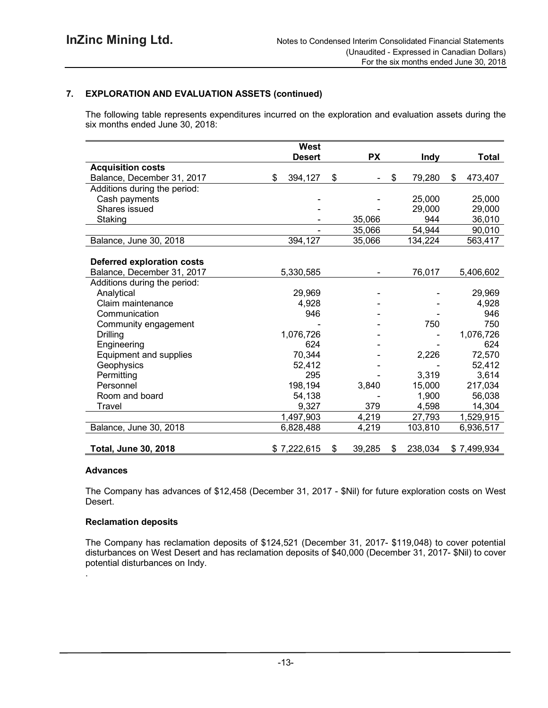## **7. EXPLORATION AND EVALUATION ASSETS (continued)**

The following table represents expenditures incurred on the exploration and evaluation assets during the six months ended June 30, 2018:

|                                   | <b>West</b>   |                                |               |               |
|-----------------------------------|---------------|--------------------------------|---------------|---------------|
|                                   | <b>Desert</b> | <b>PX</b>                      | Indy          | <b>Total</b>  |
| <b>Acquisition costs</b>          |               |                                |               |               |
| Balance, December 31, 2017        | \$<br>394,127 | \$<br>$\overline{\phantom{0}}$ | \$<br>79,280  | \$<br>473,407 |
| Additions during the period:      |               |                                |               |               |
| Cash payments                     |               |                                | 25,000        | 25,000        |
| Shares issued                     |               |                                | 29,000        | 29,000        |
| Staking                           |               | 35,066                         | 944           | 36,010        |
|                                   |               | 35,066                         | 54,944        | 90,010        |
| Balance, June 30, 2018            | 394,127       | 35,066                         | 134,224       | 563,417       |
|                                   |               |                                |               |               |
| <b>Deferred exploration costs</b> |               |                                |               |               |
| Balance, December 31, 2017        | 5,330,585     |                                | 76,017        | 5,406,602     |
| Additions during the period:      |               |                                |               |               |
| Analytical                        | 29,969        |                                |               | 29,969        |
| Claim maintenance                 | 4,928         |                                |               | 4,928         |
| Communication                     | 946           |                                |               | 946           |
| Community engagement              |               |                                | 750           | 750           |
| <b>Drilling</b>                   | 1,076,726     |                                |               | 1,076,726     |
| Engineering                       | 624           |                                |               | 624           |
| Equipment and supplies            | 70,344        |                                | 2,226         | 72,570        |
| Geophysics                        | 52,412        |                                |               | 52,412        |
| Permitting                        | 295           |                                | 3,319         | 3,614         |
| Personnel                         | 198,194       | 3,840                          | 15,000        | 217,034       |
| Room and board                    | 54,138        |                                | 1,900         | 56,038        |
| Travel                            | 9,327         | 379                            | 4,598         | 14,304        |
|                                   | 1,497,903     | 4,219                          | 27,793        | 1,529,915     |
| Balance, June 30, 2018            | 6,828,488     | 4,219                          | 103,810       | 6,936,517     |
| <b>Total, June 30, 2018</b>       | \$7,222,615   | \$<br>39,285                   | \$<br>238,034 | \$7,499,934   |

#### **Advances**

.

The Company has advances of \$12,458 (December 31, 2017 - \$Nil) for future exploration costs on West Desert.

#### **Reclamation deposits**

The Company has reclamation deposits of \$124,521 (December 31, 2017- \$119,048) to cover potential disturbances on West Desert and has reclamation deposits of \$40,000 (December 31, 2017- \$Nil) to cover potential disturbances on Indy.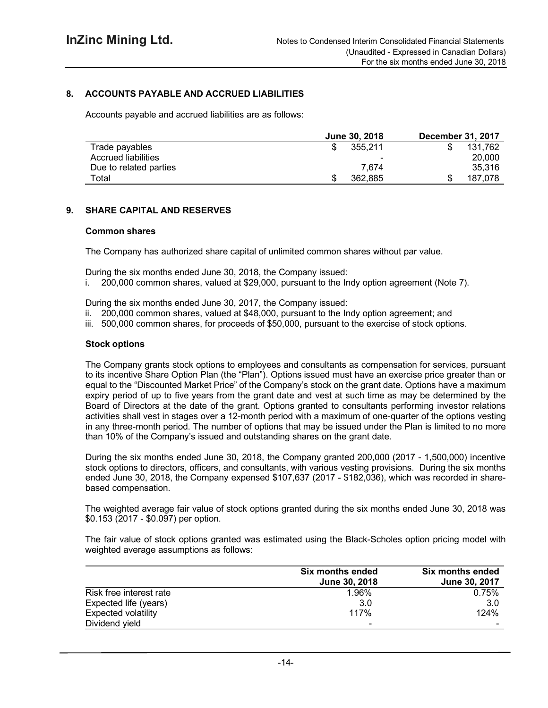## **8. ACCOUNTS PAYABLE AND ACCRUED LIABILITIES**

Accounts payable and accrued liabilities are as follows:

|                        | <b>June 30, 2018</b>     | <b>December 31, 2017</b> |
|------------------------|--------------------------|--------------------------|
| Trade payables         | 355.211                  | 131.762                  |
| Accrued liabilities    | $\overline{\phantom{0}}$ | 20,000                   |
| Due to related parties | 7.674                    | 35,316                   |
| $\tau$ otal            | 362.885<br>S             | 187,078                  |

#### **9. SHARE CAPITAL AND RESERVES**

#### **Common shares**

The Company has authorized share capital of unlimited common shares without par value.

During the six months ended June 30, 2018, the Company issued:

i. 200,000 common shares, valued at \$29,000, pursuant to the Indy option agreement (Note 7).

During the six months ended June 30, 2017, the Company issued:

- ii. 200,000 common shares, valued at \$48,000, pursuant to the Indy option agreement; and
- iii. 500,000 common shares, for proceeds of \$50,000, pursuant to the exercise of stock options.

#### **Stock options**

The Company grants stock options to employees and consultants as compensation for services, pursuant to its incentive Share Option Plan (the "Plan"). Options issued must have an exercise price greater than or equal to the "Discounted Market Price" of the Company's stock on the grant date. Options have a maximum expiry period of up to five years from the grant date and vest at such time as may be determined by the Board of Directors at the date of the grant. Options granted to consultants performing investor relations activities shall vest in stages over a 12-month period with a maximum of one-quarter of the options vesting in any three-month period. The number of options that may be issued under the Plan is limited to no more than 10% of the Company's issued and outstanding shares on the grant date.

During the six months ended June 30, 2018, the Company granted 200,000 (2017 - 1,500,000) incentive stock options to directors, officers, and consultants, with various vesting provisions. During the six months ended June 30, 2018, the Company expensed \$107,637 (2017 - \$182,036), which was recorded in sharebased compensation.

The weighted average fair value of stock options granted during the six months ended June 30, 2018 was \$0.153 (2017 - \$0.097) per option.

The fair value of stock options granted was estimated using the Black-Scholes option pricing model with weighted average assumptions as follows:

|                            | Six months ended<br>June 30, 2018 | <b>Six months ended</b><br>June 30, 2017 |
|----------------------------|-----------------------------------|------------------------------------------|
| Risk free interest rate    | 1.96%                             | 0.75%                                    |
| Expected life (years)      | 3.0                               | 3.0                                      |
| <b>Expected volatility</b> | <b>117%</b>                       | 124%                                     |
| Dividend yield             |                                   |                                          |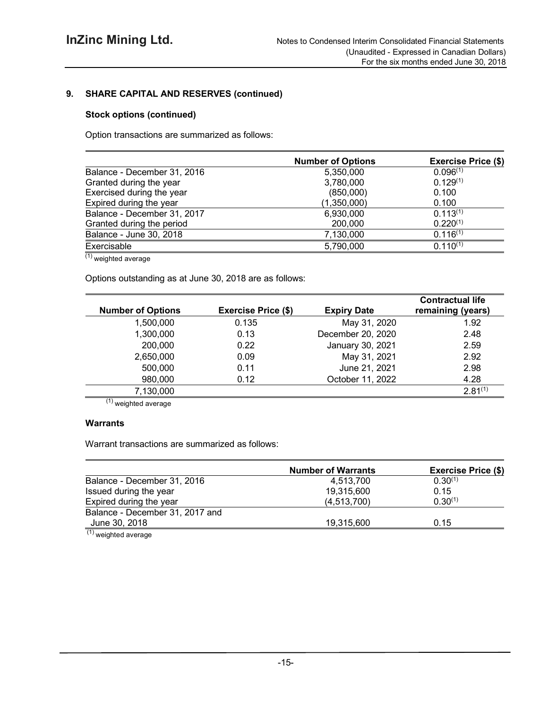## **9. SHARE CAPITAL AND RESERVES (continued)**

## **Stock options (continued)**

Option transactions are summarized as follows:

|                             | <b>Number of Options</b> | <b>Exercise Price (\$)</b> |
|-----------------------------|--------------------------|----------------------------|
| Balance - December 31, 2016 | 5,350,000                | 0.096(1)                   |
| Granted during the year     | 3,780,000                | $0.129^{(1)}$              |
| Exercised during the year   | (850,000)                | 0.100                      |
| Expired during the year     | (1,350,000)              | 0.100                      |
| Balance - December 31, 2017 | 6,930,000                | $0.113^{(1)}$              |
| Granted during the period   | 200,000                  | $0.220^{(1)}$              |
| Balance - June 30, 2018     | 7,130,000                | $0.116^{(1)}$              |
| Exercisable                 | 5,790,000                | $0.110^{(1)}$              |

 $(1)$  weighted average

Options outstanding as at June 30, 2018 are as follows:

| <b>Number of Options</b> | <b>Exercise Price (\$)</b> | <b>Expiry Date</b> | <b>Contractual life</b><br>remaining (years) |
|--------------------------|----------------------------|--------------------|----------------------------------------------|
| 1,500,000                | 0.135                      | May 31, 2020       | 1.92                                         |
| 1,300,000                | 0.13                       | December 20, 2020  | 2.48                                         |
| 200,000                  | 0.22                       | January 30, 2021   | 2.59                                         |
| 2,650,000                | 0.09                       | May 31, 2021       | 2.92                                         |
| 500,000                  | 0.11                       | June 21, 2021      | 2.98                                         |
| 980,000                  | 0.12                       | October 11, 2022   | 4.28                                         |
| 7,130,000                |                            |                    | $2.81^{(1)}$                                 |

 $(1)$  weighted average

## **Warrants**

Warrant transactions are summarized as follows:

|                                            | <b>Number of Warrants</b> | <b>Exercise Price (\$)</b> |  |  |
|--------------------------------------------|---------------------------|----------------------------|--|--|
| Balance - December 31, 2016                | 4.513.700                 | $0.30^{(1)}$               |  |  |
| Issued during the year                     | 19,315,600                | 0.15                       |  |  |
| Expired during the year                    | (4,513,700)               | $0.30^{(1)}$               |  |  |
| Balance - December 31, 2017 and            |                           |                            |  |  |
| June 30, 2018                              | 19,315,600                | 0.15                       |  |  |
| $(1)$ . The set of the set of $\mathbb{R}$ |                           |                            |  |  |

<sup>(1)</sup> weighted average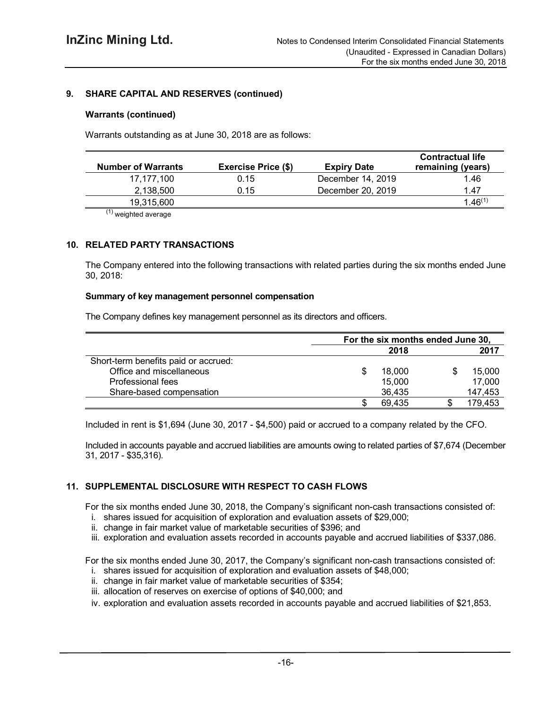## **9. SHARE CAPITAL AND RESERVES (continued)**

#### **Warrants (continued)**

Warrants outstanding as at June 30, 2018 are as follows:

| <b>Number of Warrants</b> | <b>Exercise Price (\$)</b> | <b>Expiry Date</b> | <b>Contractual life</b><br>remaining (years) |
|---------------------------|----------------------------|--------------------|----------------------------------------------|
| 17,177,100                | 0.15                       | December 14, 2019  | 1.46                                         |
| 2.138.500                 | 0.15                       | December 20, 2019  | 1.47                                         |
| 19,315,600                |                            |                    | $1.46^{(1)}$                                 |
| $\lambda$                 |                            |                    |                                              |

(1) weighted average

## **10. RELATED PARTY TRANSACTIONS**

The Company entered into the following transactions with related parties during the six months ended June 30, 2018:

#### **Summary of key management personnel compensation**

The Company defines key management personnel as its directors and officers.

|                                      | For the six months ended June 30, |  |         |
|--------------------------------------|-----------------------------------|--|---------|
|                                      | 2018                              |  | 2017    |
| Short-term benefits paid or accrued: |                                   |  |         |
| Office and miscellaneous             | 18,000                            |  | 15,000  |
| Professional fees                    | 15,000                            |  | 17,000  |
| Share-based compensation             | 36,435                            |  | 147,453 |
|                                      | 69.435                            |  | 179,453 |

Included in rent is \$1,694 (June 30, 2017 - \$4,500) paid or accrued to a company related by the CFO.

Included in accounts payable and accrued liabilities are amounts owing to related parties of \$7,674 (December 31, 2017 - \$35,316).

## **11. SUPPLEMENTAL DISCLOSURE WITH RESPECT TO CASH FLOWS**

For the six months ended June 30, 2018, the Company's significant non-cash transactions consisted of:

- i. shares issued for acquisition of exploration and evaluation assets of \$29,000;
- ii. change in fair market value of marketable securities of \$396; and
- iii. exploration and evaluation assets recorded in accounts payable and accrued liabilities of \$337,086.

For the six months ended June 30, 2017, the Company's significant non-cash transactions consisted of:

- i. shares issued for acquisition of exploration and evaluation assets of \$48,000;
- ii. change in fair market value of marketable securities of \$354;
- iii. allocation of reserves on exercise of options of \$40,000; and
- iv. exploration and evaluation assets recorded in accounts payable and accrued liabilities of \$21,853.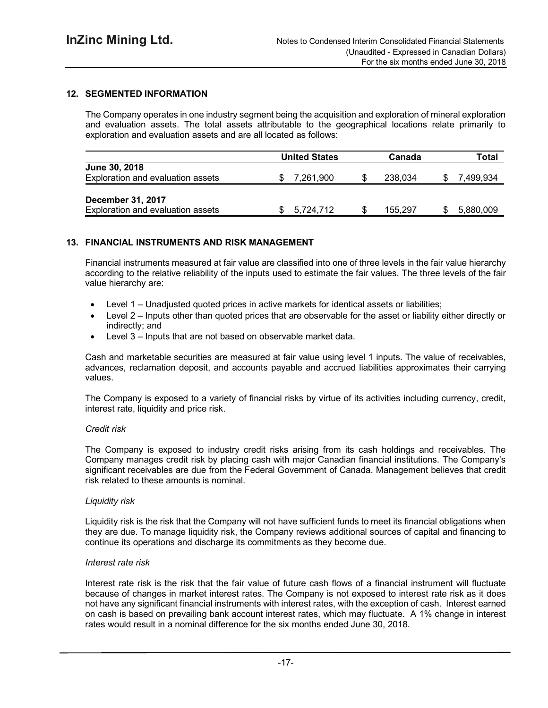## **12. SEGMENTED INFORMATION**

The Company operates in one industry segment being the acquisition and exploration of mineral exploration and evaluation assets. The total assets attributable to the geographical locations relate primarily to exploration and evaluation assets and are all located as follows:

|                                                               | <b>United States</b> | Canada  | Total     |
|---------------------------------------------------------------|----------------------|---------|-----------|
| <b>June 30, 2018</b><br>Exploration and evaluation assets     | 7,261,900            | 238,034 | 7.499.934 |
| <b>December 31, 2017</b><br>Exploration and evaluation assets | 5,724,712            | 155.297 | 5,880,009 |

#### **13. FINANCIAL INSTRUMENTS AND RISK MANAGEMENT**

Financial instruments measured at fair value are classified into one of three levels in the fair value hierarchy according to the relative reliability of the inputs used to estimate the fair values. The three levels of the fair value hierarchy are:

- Level 1 Unadjusted quoted prices in active markets for identical assets or liabilities;
- Level 2 Inputs other than quoted prices that are observable for the asset or liability either directly or indirectly; and
- Level 3 Inputs that are not based on observable market data.

Cash and marketable securities are measured at fair value using level 1 inputs. The value of receivables, advances, reclamation deposit, and accounts payable and accrued liabilities approximates their carrying values.

The Company is exposed to a variety of financial risks by virtue of its activities including currency, credit, interest rate, liquidity and price risk.

#### *Credit risk*

The Company is exposed to industry credit risks arising from its cash holdings and receivables. The Company manages credit risk by placing cash with major Canadian financial institutions. The Company's significant receivables are due from the Federal Government of Canada. Management believes that credit risk related to these amounts is nominal.

#### *Liquidity risk*

Liquidity risk is the risk that the Company will not have sufficient funds to meet its financial obligations when they are due. To manage liquidity risk, the Company reviews additional sources of capital and financing to continue its operations and discharge its commitments as they become due.

#### *Interest rate risk*

Interest rate risk is the risk that the fair value of future cash flows of a financial instrument will fluctuate because of changes in market interest rates. The Company is not exposed to interest rate risk as it does not have any significant financial instruments with interest rates, with the exception of cash. Interest earned on cash is based on prevailing bank account interest rates, which may fluctuate. A 1% change in interest rates would result in a nominal difference for the six months ended June 30, 2018.